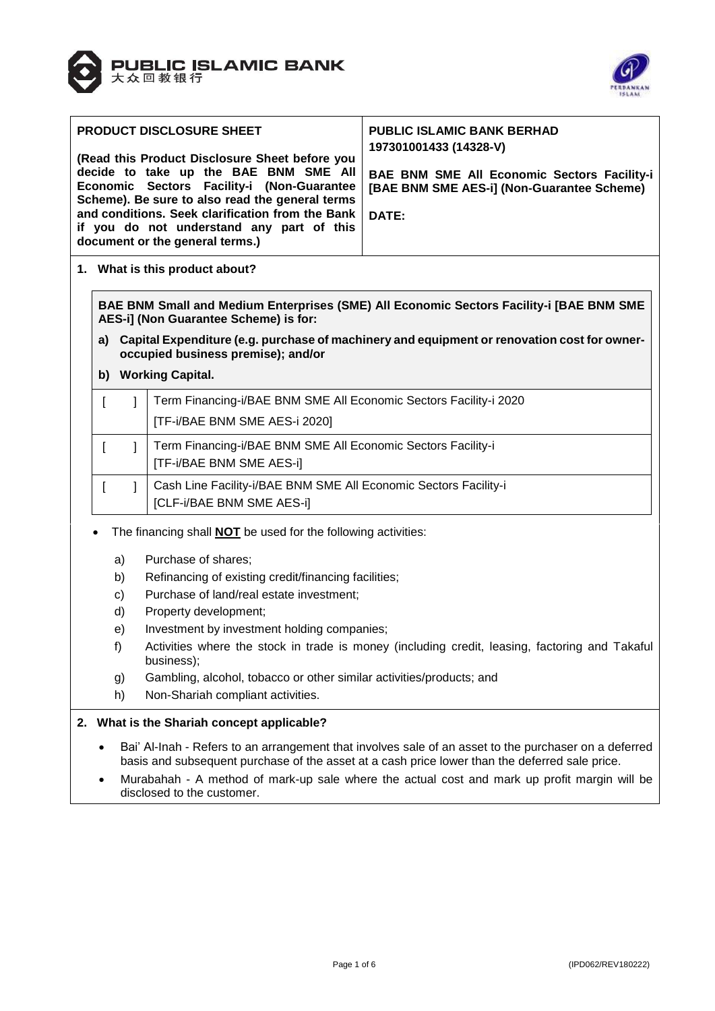



| <b>PRODUCT DISCLOSURE SHEET</b><br>(Read this Product Disclosure Sheet before you<br>decide to take up the BAE BNM SME All<br>Economic Sectors Facility-i (Non-Guarantee<br>Scheme). Be sure to also read the general terms<br>and conditions. Seek clarification from the Bank  <br>if you do not understand any part of this<br>document or the general terms.) | <b>PUBLIC ISLAMIC BANK BERHAD</b><br>197301001433 (14328-V)<br><b>BAE BNM SME All Economic Sectors Facility-i</b><br>[BAE BNM SME AES-i] (Non-Guarantee Scheme)<br>DATE: |
|-------------------------------------------------------------------------------------------------------------------------------------------------------------------------------------------------------------------------------------------------------------------------------------------------------------------------------------------------------------------|--------------------------------------------------------------------------------------------------------------------------------------------------------------------------|
|-------------------------------------------------------------------------------------------------------------------------------------------------------------------------------------------------------------------------------------------------------------------------------------------------------------------------------------------------------------------|--------------------------------------------------------------------------------------------------------------------------------------------------------------------------|

**1. What is this product about?**

**BAE BNM Small and Medium Enterprises (SME) All Economic Sectors Facility-i [BAE BNM SME AES-i] (Non Guarantee Scheme) is for:** 

- **a) Capital Expenditure (e.g. purchase of machinery and equipment or renovation cost for owneroccupied business premise); and/or**
- **b) Working Capital.**

|  | Term Financing-i/BAE BNM SME All Economic Sectors Facility-i 2020<br>[TF-i/BAE BNM SME AES-i 2020] |
|--|----------------------------------------------------------------------------------------------------|
|  | Term Financing-i/BAE BNM SME All Economic Sectors Facility-i<br>[TF-i/BAE BNM SME AES-i]           |
|  | Cash Line Facility-i/BAE BNM SME All Economic Sectors Facility-i<br>[CLF-i/BAE BNM SME AES-i]      |

- The financing shall **NOT** be used for the following activities:
	- a) Purchase of shares;
	- b) Refinancing of existing credit/financing facilities;
	- c) Purchase of land/real estate investment;
	- d) Property development;
	- e) Investment by investment holding companies;
	- f) Activities where the stock in trade is money (including credit, leasing, factoring and Takaful business);
	- g) Gambling, alcohol, tobacco or other similar activities/products; and
	- h) Non-Shariah compliant activities.

### **2. What is the Shariah concept applicable?**

- Bai' Al-Inah Refers to an arrangement that involves sale of an asset to the purchaser on a deferred basis and subsequent purchase of the asset at a cash price lower than the deferred sale price.
- Murabahah A method of mark-up sale where the actual cost and mark up profit margin will be disclosed to the customer.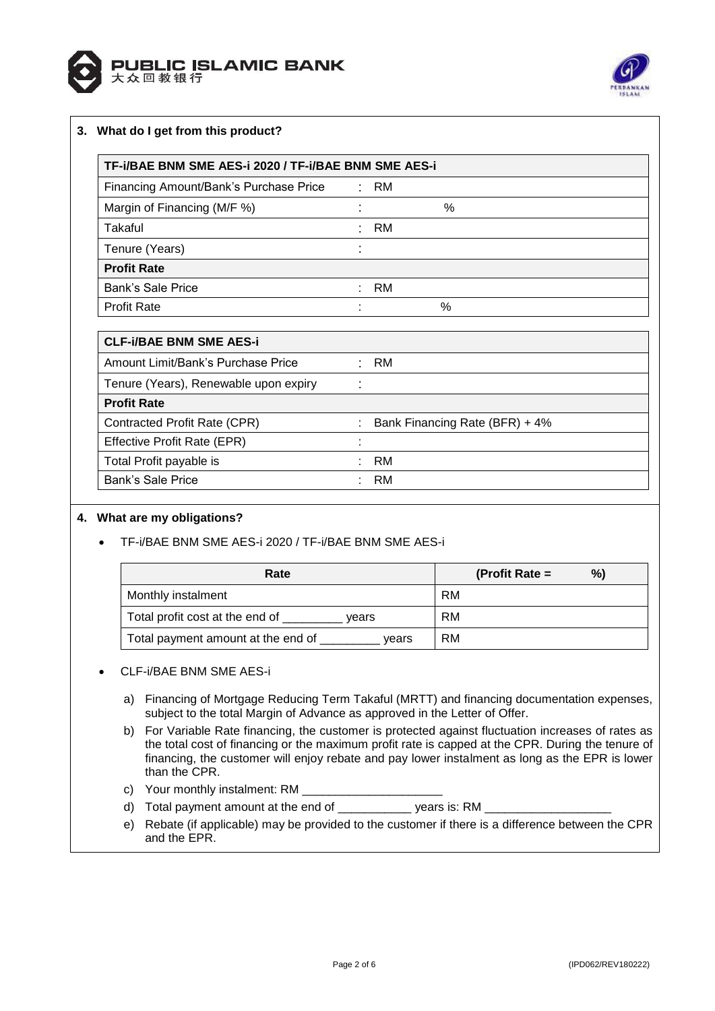



# **3. What do I get from this product?**

| TF-i/BAE BNM SME AES-i 2020 / TF-i/BAE BNM SME AES-i |           |    |  |
|------------------------------------------------------|-----------|----|--|
| ÷                                                    | RM        |    |  |
| ٠                                                    |           | %  |  |
| ٠                                                    | <b>RM</b> |    |  |
| ٠                                                    |           |    |  |
|                                                      |           |    |  |
| ÷                                                    |           |    |  |
| ٠                                                    |           | %  |  |
|                                                      |           | RM |  |

| Bank Financing Rate (BFR) + 4% |      |
|--------------------------------|------|
|                                |      |
| RM                             |      |
| RM                             |      |
|                                | : RM |

### **4. What are my obligations?**

TF-i/BAE BNM SME AES-i 2020 / TF-i/BAE BNM SME AES-i

| Rate                                        | %)<br>(Profit Rate $=$ |
|---------------------------------------------|------------------------|
| Monthly instalment                          | RM                     |
| Total profit cost at the end of<br>vears    | RM                     |
| Total payment amount at the end of<br>vears | RM                     |

### CLF-i/BAE BNM SME AES-i

- a) Financing of Mortgage Reducing Term Takaful (MRTT) and financing documentation expenses, subject to the total Margin of Advance as approved in the Letter of Offer.
- b) For Variable Rate financing, the customer is protected against fluctuation increases of rates as the total cost of financing or the maximum profit rate is capped at the CPR. During the tenure of financing, the customer will enjoy rebate and pay lower instalment as long as the EPR is lower than the CPR.
- c) Your monthly instalment: RM \_\_\_
- d) Total payment amount at the end of \_\_\_\_\_\_\_\_\_\_\_\_\_\_\_\_ years is: RM \_
- e) Rebate (if applicable) may be provided to the customer if there is a difference between the CPR and the EPR.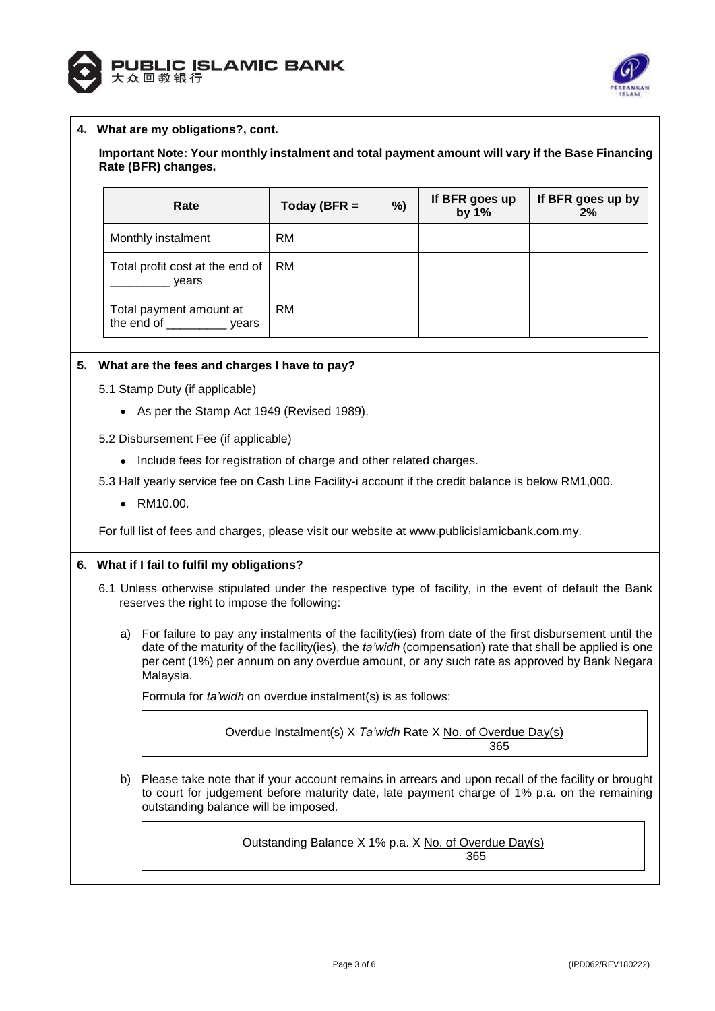



## **4. What are my obligations?, cont.**

## **Important Note: Your monthly instalment and total payment amount will vary if the Base Financing Rate (BFR) changes.**

| Rate                                        | %)<br>Today (BFR $=$ | If BFR goes up<br>by 1% | If BFR goes up by<br>2% |
|---------------------------------------------|----------------------|-------------------------|-------------------------|
| Monthly instalment                          | <b>RM</b>            |                         |                         |
| Total profit cost at the end of<br>vears    | RM.                  |                         |                         |
| Total payment amount at<br>the end of vears | <b>RM</b>            |                         |                         |

### **5. What are the fees and charges I have to pay?**

- 5.1 Stamp Duty (if applicable)
	- As per the Stamp Act 1949 (Revised 1989).
- 5.2 Disbursement Fee (if applicable)
	- Include fees for registration of charge and other related charges.

5.3 Half yearly service fee on Cash Line Facility-i account if the credit balance is below RM1,000.

• RM10.00.

For full list of fees and charges, please visit our website at [www.publicislamicbank.com.my.](http://www.publicislamicbank.com.my/)

### **6. What if I fail to fulfil my obligations?**

- 6.1 Unless otherwise stipulated under the respective type of facility, in the event of default the Bank reserves the right to impose the following:
	- a) For failure to pay any instalments of the facility(ies) from date of the first disbursement until the date of the maturity of the facility(ies), the *ta'widh* (compensation) rate that shall be applied is one per cent (1%) per annum on any overdue amount, or any such rate as approved by Bank Negara Malaysia.

Formula for *ta'widh* on overdue instalment(s) is as follows:

Overdue Instalment(s) X *Ta'widh* Rate X No. of Overdue Day(s) 365

b) Please take note that if your account remains in arrears and upon recall of the facility or brought to court for judgement before maturity date, late payment charge of 1% p.a. on the remaining outstanding balance will be imposed.

> Outstanding Balance X 1% p.a. X No. of Overdue Day(s) 365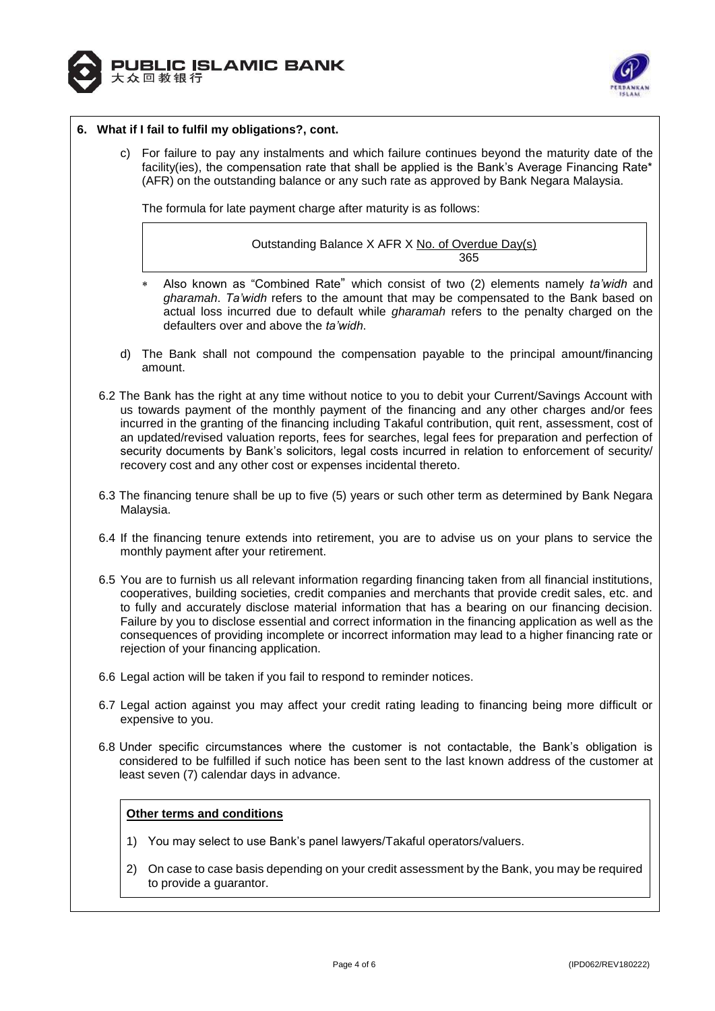



### **6. What if I fail to fulfil my obligations?, cont.**

c) For failure to pay any instalments and which failure continues beyond the maturity date of the facility(ies), the compensation rate that shall be applied is the Bank's Average Financing Rate\* (AFR) on the outstanding balance or any such rate as approved by Bank Negara Malaysia.

The formula for late payment charge after maturity is as follows:

Outstanding Balance X AFR X No. of Overdue Day(s) <u>365 - John Stein, Amerikaansk politiker (</u>

- Also known as "Combined Rate" which consist of two (2) elements namely *ta'widh* and *gharamah*. *Ta'widh* refers to the amount that may be compensated to the Bank based on actual loss incurred due to default while *gharamah* refers to the penalty charged on the defaulters over and above the *ta'widh*.
- d) The Bank shall not compound the compensation payable to the principal amount/financing amount.
- 6.2 The Bank has the right at any time without notice to you to debit your Current/Savings Account with us towards payment of the monthly payment of the financing and any other charges and/or fees incurred in the granting of the financing including Takaful contribution, quit rent, assessment, cost of an updated/revised valuation reports, fees for searches, legal fees for preparation and perfection of security documents by Bank's solicitors, legal costs incurred in relation to enforcement of security/ recovery cost and any other cost or expenses incidental thereto.
- 6.3 The financing tenure shall be up to five (5) years or such other term as determined by Bank Negara Malaysia.
- 6.4 If the financing tenure extends into retirement, you are to advise us on your plans to service the monthly payment after your retirement.
- 6.5 You are to furnish us all relevant information regarding financing taken from all financial institutions, cooperatives, building societies, credit companies and merchants that provide credit sales, etc. and to fully and accurately disclose material information that has a bearing on our financing decision. Failure by you to disclose essential and correct information in the financing application as well as the consequences of providing incomplete or incorrect information may lead to a higher financing rate or rejection of your financing application.
- 6.6 Legal action will be taken if you fail to respond to reminder notices.
- 6.7 Legal action against you may affect your credit rating leading to financing being more difficult or expensive to you.
- 6.8 Under specific circumstances where the customer is not contactable, the Bank's obligation is considered to be fulfilled if such notice has been sent to the last known address of the customer at least seven (7) calendar days in advance.

# **Other terms and conditions**

- 1) You may select to use Bank's panel lawyers/Takaful operators/valuers.
- 2) On case to case basis depending on your credit assessment by the Bank, you may be required to provide a guarantor.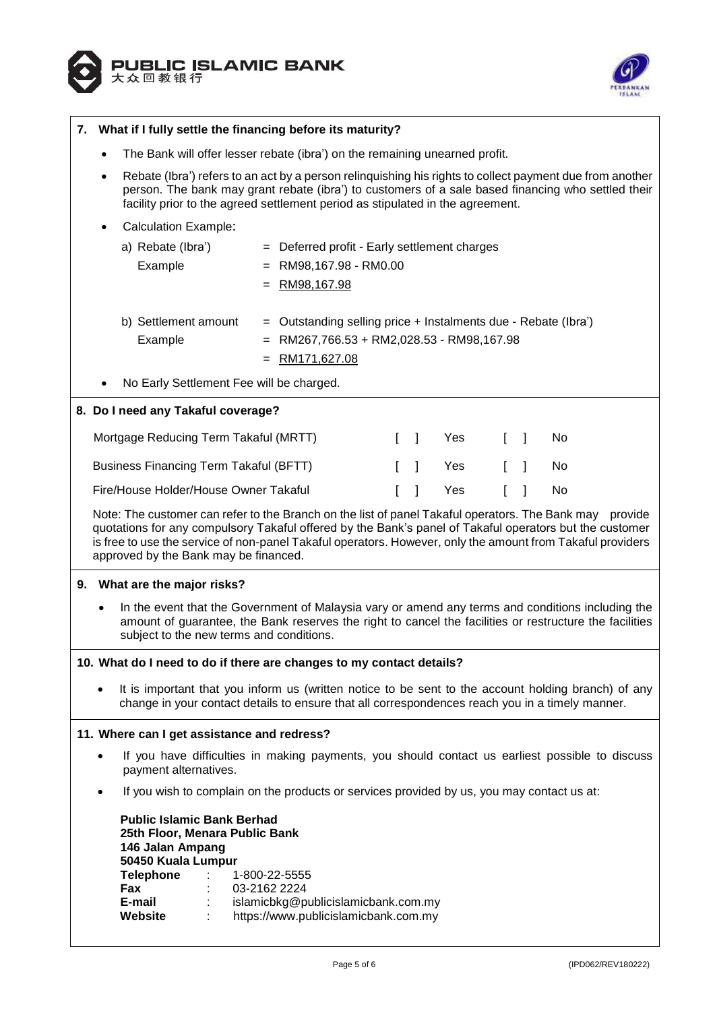



| 7. | What if I fully settle the financing before its maturity?                                                                                                                                                                                                                                                                                                                 |  |  |
|----|---------------------------------------------------------------------------------------------------------------------------------------------------------------------------------------------------------------------------------------------------------------------------------------------------------------------------------------------------------------------------|--|--|
|    | The Bank will offer lesser rebate (ibra') on the remaining unearned profit.                                                                                                                                                                                                                                                                                               |  |  |
|    | Rebate (Ibra') refers to an act by a person relinquishing his rights to collect payment due from another<br>person. The bank may grant rebate (ibra') to customers of a sale based financing who settled their<br>facility prior to the agreed settlement period as stipulated in the agreement.                                                                          |  |  |
|    | <b>Calculation Example:</b>                                                                                                                                                                                                                                                                                                                                               |  |  |
|    | a) Rebate (Ibra')<br>= Deferred profit - Early settlement charges<br>Example<br>$=$ RM98,167.98 - RM0.00<br>RM98,167.98                                                                                                                                                                                                                                                   |  |  |
|    | b) Settlement amount<br>Outstanding selling price + Instalments due - Rebate (Ibra')<br>RM267,766.53 + RM2,028.53 - RM98,167.98<br>Example<br>=<br>RM171,627.08                                                                                                                                                                                                           |  |  |
|    | No Early Settlement Fee will be charged.                                                                                                                                                                                                                                                                                                                                  |  |  |
|    | 8. Do I need any Takaful coverage?                                                                                                                                                                                                                                                                                                                                        |  |  |
|    | Mortgage Reducing Term Takaful (MRTT)<br>Yes<br>$\mathbb{L}$<br>-1<br>No<br>L<br>$\mathbf{I}$                                                                                                                                                                                                                                                                             |  |  |
|    | <b>Business Financing Term Takaful (BFTT)</b><br>Yes<br>1<br>No                                                                                                                                                                                                                                                                                                           |  |  |
|    | Fire/House Holder/House Owner Takaful<br>Yes<br>L<br>No                                                                                                                                                                                                                                                                                                                   |  |  |
|    | Note: The customer can refer to the Branch on the list of panel Takaful operators. The Bank may provide<br>quotations for any compulsory Takaful offered by the Bank's panel of Takaful operators but the customer<br>is free to use the service of non-panel Takaful operators. However, only the amount from Takaful providers<br>approved by the Bank may be financed. |  |  |
|    | 9. What are the major risks?                                                                                                                                                                                                                                                                                                                                              |  |  |
|    | In the event that the Government of Malaysia vary or amend any terms and conditions including the<br>amount of guarantee, the Bank reserves the right to cancel the facilities or restructure the facilities<br>subject to the new terms and conditions.                                                                                                                  |  |  |
|    | 10. What do I need to do if there are changes to my contact details?                                                                                                                                                                                                                                                                                                      |  |  |
|    | It is important that you inform us (written notice to be sent to the account holding branch) of any<br>change in your contact details to ensure that all correspondences reach you in a timely manner.                                                                                                                                                                    |  |  |
|    | 11. Where can I get assistance and redress?                                                                                                                                                                                                                                                                                                                               |  |  |
|    | If you have difficulties in making payments, you should contact us earliest possible to discuss<br>payment alternatives.                                                                                                                                                                                                                                                  |  |  |
|    | If you wish to complain on the products or services provided by us, you may contact us at:                                                                                                                                                                                                                                                                                |  |  |
|    | <b>Public Islamic Bank Berhad</b><br>25th Floor, Menara Public Bank<br>146 Jalan Ampang<br>50450 Kuala Lumpur<br><b>Telephone</b><br>1-800-22-5555<br>Fax<br>03-2162 2224<br>E-mail<br>islamicbkg@publicislamicbank.com.my<br>Website<br>https://www.publicislamicbank.com.my                                                                                             |  |  |